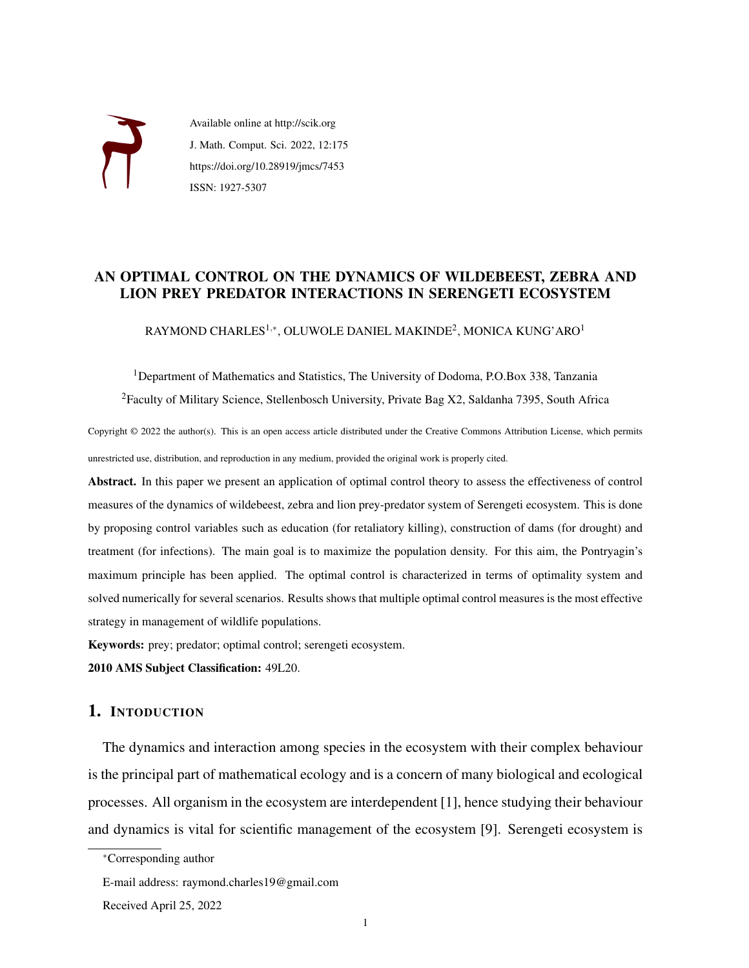

Available online at http://scik.org J. Math. Comput. Sci. 2022, 12:175 https://doi.org/10.28919/jmcs/7453 ISSN: 1927-5307

# AN OPTIMAL CONTROL ON THE DYNAMICS OF WILDEBEEST, ZEBRA AND LION PREY PREDATOR INTERACTIONS IN SERENGETI ECOSYSTEM

RAYMOND CHARLES<sup>1,∗</sup>, OLUWOLE DANIEL MAKINDE<sup>2</sup>, MONICA KUNG'ARO<sup>1</sup>

<sup>1</sup>Department of Mathematics and Statistics, The University of Dodoma, P.O.Box 338, Tanzania <sup>2</sup>Faculty of Military Science, Stellenbosch University, Private Bag X2, Saldanha 7395, South Africa

Copyright © 2022 the author(s). This is an open access article distributed under the Creative Commons Attribution License, which permits unrestricted use, distribution, and reproduction in any medium, provided the original work is properly cited.

Abstract. In this paper we present an application of optimal control theory to assess the effectiveness of control measures of the dynamics of wildebeest, zebra and lion prey-predator system of Serengeti ecosystem. This is done by proposing control variables such as education (for retaliatory killing), construction of dams (for drought) and treatment (for infections). The main goal is to maximize the population density. For this aim, the Pontryagin's maximum principle has been applied. The optimal control is characterized in terms of optimality system and solved numerically for several scenarios. Results shows that multiple optimal control measures is the most effective strategy in management of wildlife populations.

Keywords: prey; predator; optimal control; serengeti ecosystem.

2010 AMS Subject Classification: 49L20.

## 1. INTODUCTION

The dynamics and interaction among species in the ecosystem with their complex behaviour is the principal part of mathematical ecology and is a concern of many biological and ecological processes. All organism in the ecosystem are interdependent [\[1\]](#page-11-0), hence studying their behaviour and dynamics is vital for scientific management of the ecosystem [\[9\]](#page-11-1). Serengeti ecosystem is

<sup>∗</sup>Corresponding author

E-mail address: raymond.charles19@gmail.com

Received April 25, 2022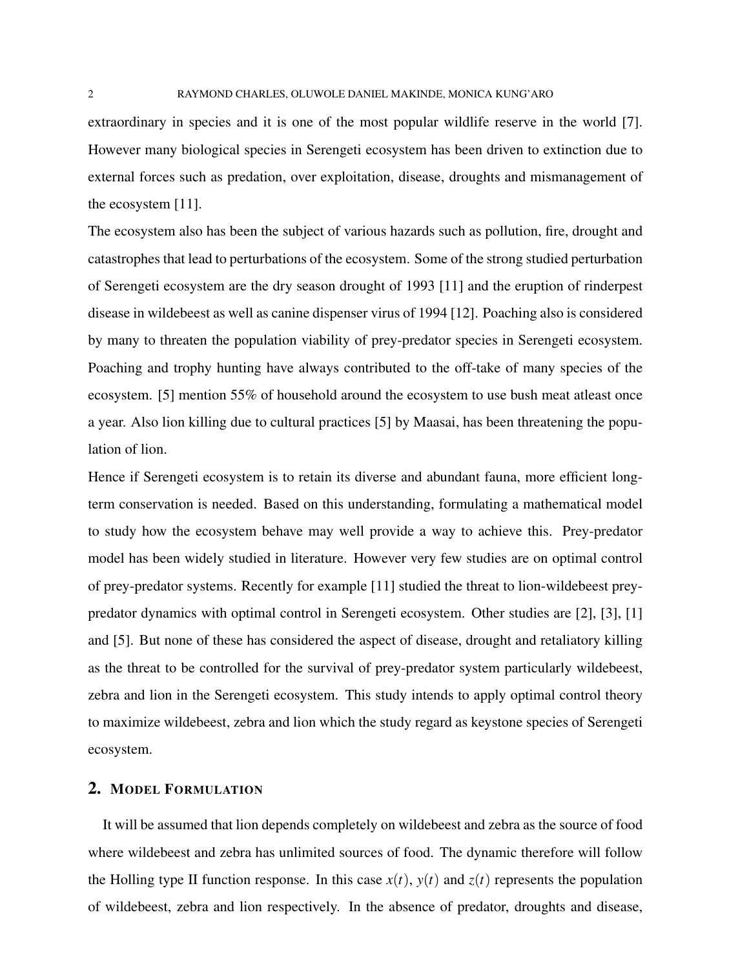extraordinary in species and it is one of the most popular wildlife reserve in the world [\[7\]](#page-11-2). However many biological species in Serengeti ecosystem has been driven to extinction due to external forces such as predation, over exploitation, disease, droughts and mismanagement of the ecosystem [\[11\]](#page-11-3).

The ecosystem also has been the subject of various hazards such as pollution, fire, drought and catastrophes that lead to perturbations of the ecosystem. Some of the strong studied perturbation of Serengeti ecosystem are the dry season drought of 1993 [\[11\]](#page-11-3) and the eruption of rinderpest disease in wildebeest as well as canine dispenser virus of 1994 [\[12\]](#page-11-4). Poaching also is considered by many to threaten the population viability of prey-predator species in Serengeti ecosystem. Poaching and trophy hunting have always contributed to the off-take of many species of the ecosystem. [\[5\]](#page-11-5) mention 55% of household around the ecosystem to use bush meat atleast once a year. Also lion killing due to cultural practices [\[5\]](#page-11-5) by Maasai, has been threatening the population of lion.

Hence if Serengeti ecosystem is to retain its diverse and abundant fauna, more efficient longterm conservation is needed. Based on this understanding, formulating a mathematical model to study how the ecosystem behave may well provide a way to achieve this. Prey-predator model has been widely studied in literature. However very few studies are on optimal control of prey-predator systems. Recently for example [\[11\]](#page-11-3) studied the threat to lion-wildebeest preypredator dynamics with optimal control in Serengeti ecosystem. Other studies are [\[2\]](#page-11-6), [\[3\]](#page-11-7), [\[1\]](#page-11-0) and [\[5\]](#page-11-5). But none of these has considered the aspect of disease, drought and retaliatory killing as the threat to be controlled for the survival of prey-predator system particularly wildebeest, zebra and lion in the Serengeti ecosystem. This study intends to apply optimal control theory to maximize wildebeest, zebra and lion which the study regard as keystone species of Serengeti ecosystem.

# 2. MODEL FORMULATION

It will be assumed that lion depends completely on wildebeest and zebra as the source of food where wildebeest and zebra has unlimited sources of food. The dynamic therefore will follow the Holling type II function response. In this case  $x(t)$ ,  $y(t)$  and  $z(t)$  represents the population of wildebeest, zebra and lion respectively. In the absence of predator, droughts and disease,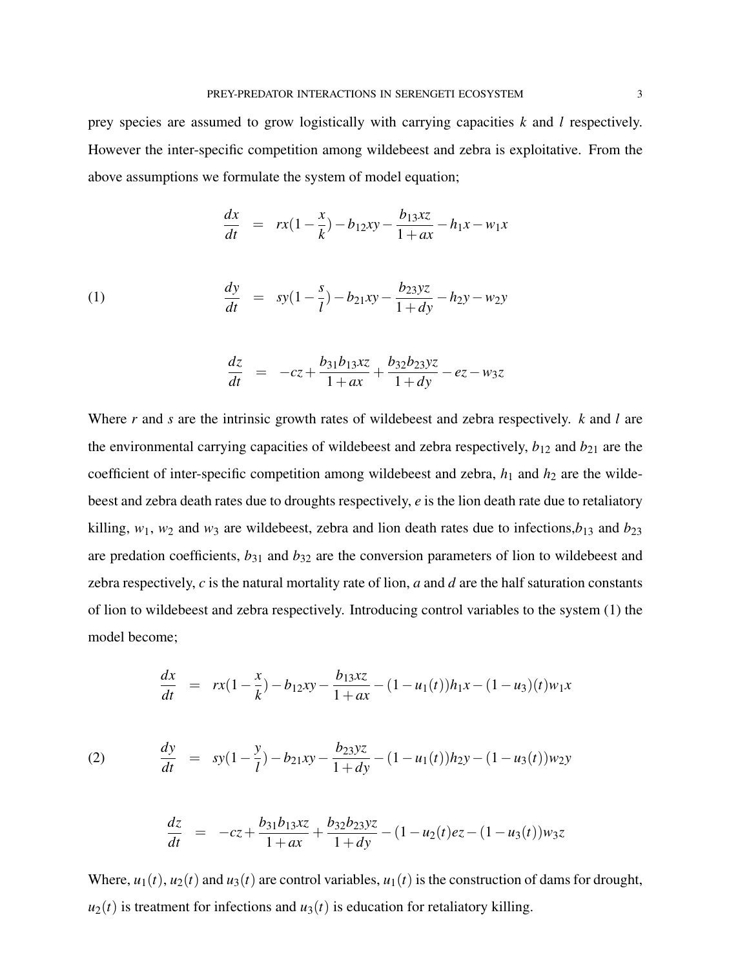prey species are assumed to grow logistically with carrying capacities *k* and *l* respectively. However the inter-specific competition among wildebeest and zebra is exploitative. From the above assumptions we formulate the system of model equation;

<span id="page-2-0"></span>
$$
\frac{dx}{dt} = rx(1 - \frac{x}{k}) - b_{12}xy - \frac{b_{13}xz}{1 + ax} - h_1x - w_1x
$$

(1) 
$$
\frac{dy}{dt} = sy(1 - \frac{s}{l}) - b_{21}xy - \frac{b_{23}yz}{1 + dy} - h_{2}y - w_{2}y
$$

$$
\frac{dz}{dt} = -cz + \frac{b_{31}b_{13}xz}{1+ax} + \frac{b_{32}b_{23}yz}{1+dy} - ez - wz
$$

Where *r* and *s* are the intrinsic growth rates of wildebeest and zebra respectively. *k* and *l* are the environmental carrying capacities of wildebeest and zebra respectively,  $b_{12}$  and  $b_{21}$  are the coefficient of inter-specific competition among wildebeest and zebra,  $h_1$  and  $h_2$  are the wildebeest and zebra death rates due to droughts respectively, *e* is the lion death rate due to retaliatory killing,  $w_1$ ,  $w_2$  and  $w_3$  are wildebeest, zebra and lion death rates due to infections, $b_{13}$  and  $b_{23}$ are predation coefficients,  $b_{31}$  and  $b_{32}$  are the conversion parameters of lion to wildebeest and zebra respectively, *c* is the natural mortality rate of lion, *a* and *d* are the half saturation constants of lion to wildebeest and zebra respectively. Introducing control variables to the system [\(1\)](#page-2-0) the model become;

<span id="page-2-1"></span>
$$
\frac{dx}{dt} = rx(1 - \frac{x}{k}) - b_{12}xy - \frac{b_{13}xz}{1+ax} - (1 - u_1(t))h_1x - (1 - u_3)(t)w_1x
$$

(2) 
$$
\frac{dy}{dt} = sy(1 - \frac{y}{l}) - b_{21}xy - \frac{b_{23}yz}{1 + dy} - (1 - u_1(t))h_{2}y - (1 - u_3(t))w_{2}y
$$

$$
\frac{dz}{dt} = -cz + \frac{b_{31}b_{13}xz}{1+ax} + \frac{b_{32}b_{23}yz}{1+dy} - (1-u_2(t)ez - (1-u_3(t))w_3z
$$

Where,  $u_1(t)$ ,  $u_2(t)$  and  $u_3(t)$  are control variables,  $u_1(t)$  is the construction of dams for drought,  $u_2(t)$  is treatment for infections and  $u_3(t)$  is education for retaliatory killing.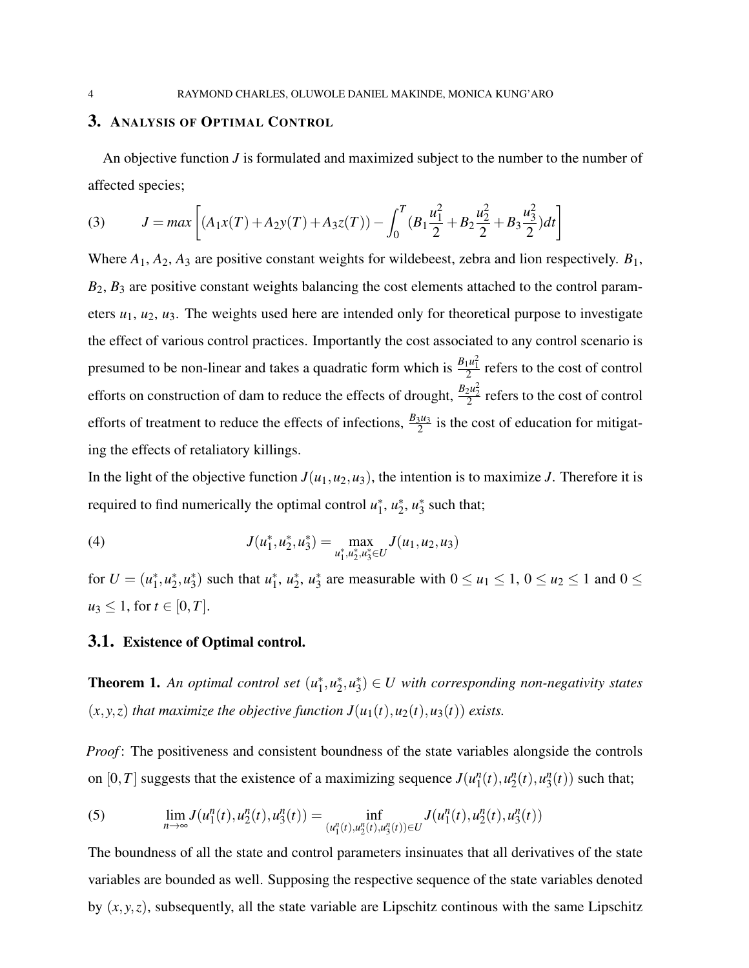#### 3. ANALYSIS OF OPTIMAL CONTROL

An objective function *J* is formulated and maximized subject to the number to the number of affected species;

<span id="page-3-0"></span>(3) 
$$
J = max \left[ (A_1x(T) + A_2y(T) + A_3z(T)) - \int_0^T (B_1\frac{u_1^2}{2} + B_2\frac{u_2^2}{2} + B_3\frac{u_3^2}{2})dt \right]
$$

Where  $A_1$ ,  $A_2$ ,  $A_3$  are positive constant weights for wildebeest, zebra and lion respectively.  $B_1$ , *B*2, *B*<sup>3</sup> are positive constant weights balancing the cost elements attached to the control parameters  $u_1, u_2, u_3$ . The weights used here are intended only for theoretical purpose to investigate the effect of various control practices. Importantly the cost associated to any control scenario is presumed to be non-linear and takes a quadratic form which is  $\frac{B_1u_1^2}{2}$  refers to the cost of control efforts on construction of dam to reduce the effects of drought,  $\frac{B_2 u_2^2}{2}$  refers to the cost of control efforts of treatment to reduce the effects of infections,  $\frac{B_3 u_3}{2}$  is the cost of education for mitigating the effects of retaliatory killings.

In the light of the objective function  $J(u_1, u_2, u_3)$ , the intention is to maximize *J*. Therefore it is required to find numerically the optimal control *u* ∗ <sup>\*</sup><sub>1</sub>,  $u_2^*$  $\frac{1}{2}$ ,  $u_3^*$  $3 \text{ such that}$ ;

<span id="page-3-1"></span>(4) 
$$
J(u_1^*, u_2^*, u_3^*) = \max_{u_1^*, u_2^*, u_3^* \in U} J(u_1, u_2, u_3)
$$

for  $U = (u_1^*$  $i<sub>1</sub>$ <sup>\*</sup>,  $u<sub>2</sub>$ <sup>\*</sup>  $x_2^*, u_3^*$  $\binom{*}{3}$  such that  $u_1^*$ <sup>\*</sup><sub>1</sub>,  $u_2^*$ <sup>\*</sup><sub>2</sub>,  $u_3^*$  $3 \text{ are measurable with } 0 \le u_1 \le 1, 0 \le u_2 \le 1 \text{ and } 0 \le$ *u*<sub>3</sub> ≤ 1, for *t* ∈ [0,*T*].

#### 3.1. Existence of Optimal control.

Theorem 1. *An optimal control set* (*u* ∗  $j^*, u_2^*$  $x_2^*, u_3^*$ 3 ) ∈ *U with corresponding non-negativity states*  $(x, y, z)$  *that maximize the objective function*  $J(u_1(t), u_2(t), u_3(t))$  *exists.* 

*Proof*: The positiveness and consistent boundness of the state variables alongside the controls on [0,*T*] suggests that the existence of a maximizing sequence  $J(u_1^n)$  $n_1^n(t), u_2^n$  $n_2^n(t), u_3^n$  $\binom{n}{3}(t)$  such that;

(5) 
$$
\lim_{n \to \infty} J(u_1^n(t), u_2^n(t), u_3^n(t)) = \inf_{(u_1^n(t), u_2^n(t), u_3^n(t)) \in U} J(u_1^n(t), u_2^n(t), u_3^n(t))
$$

The boundness of all the state and control parameters insinuates that all derivatives of the state variables are bounded as well. Supposing the respective sequence of the state variables denoted by  $(x, y, z)$ , subsequently, all the state variable are Lipschitz continous with the same Lipschitz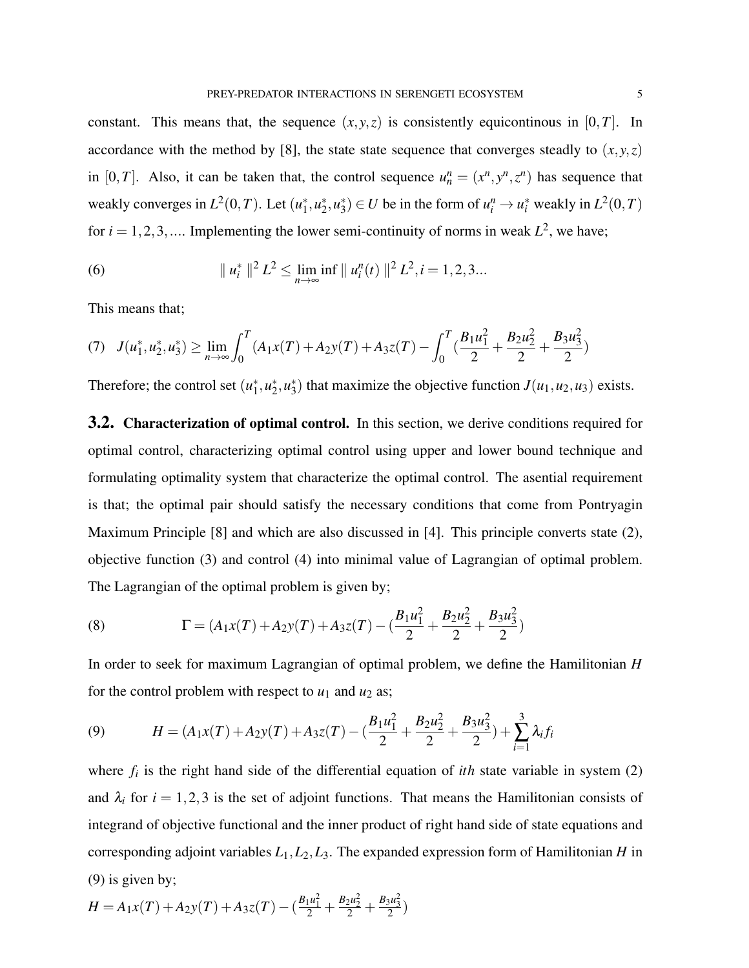constant. This means that, the sequence  $(x, y, z)$  is consistently equicontinous in [0,*T*]. In accordance with the method by [\[8\]](#page-11-8), the state state sequence that converges steadly to  $(x, y, z)$ in [0,*T*]. Also, it can be taken that, the control sequence  $u_n^n = (x^n, y^n, z^n)$  has sequence that weakly converges in  $L^2(0,T)$ . Let  $(u_1^*)$  $j^*, u_2^*$  $x_2^*, u_3^*$  $\mathbf{L}_{i}^{*}$   $\in U$  be in the form of  $u_{i}^{n} \to u_{i}^{*}$  weakly in  $L^{2}(0,T)$ for  $i = 1, 2, 3, \dots$  Implementing the lower semi-continuity of norms in weak  $L^2$ , we have;

(6) 
$$
\| u_i^* \|^2 L^2 \leq \lim_{n \to \infty} \inf \| u_i^n(t) \|^2 L^2, i = 1, 2, 3...
$$

This means that;

$$
(7) \quad J(u_1^*, u_2^*, u_3^*) \ge \lim_{n \to \infty} \int_0^T (A_1 x(T) + A_2 y(T) + A_3 z(T) - \int_0^T \left(\frac{B_1 u_1^2}{2} + \frac{B_2 u_2^2}{2} + \frac{B_3 u_3^2}{2}\right))
$$

Therefore; the control set  $(u_1^*)$  $i<sub>1</sub><sup>*</sup>, u<sub>2</sub><sup>*</sup>$  $x_2^*, u_3^*$  $3$ ) that maximize the objective function  $J(u_1, u_2, u_3)$  exists.

3.2. Characterization of optimal control. In this section, we derive conditions required for optimal control, characterizing optimal control using upper and lower bound technique and formulating optimality system that characterize the optimal control. The asential requirement is that; the optimal pair should satisfy the necessary conditions that come from Pontryagin Maximum Principle [\[8\]](#page-11-8) and which are also discussed in [\[4\]](#page-11-9). This principle converts state [\(2\)](#page-2-1), objective function [\(3\)](#page-3-0) and control [\(4\)](#page-3-1) into minimal value of Lagrangian of optimal problem. The Lagrangian of the optimal problem is given by;

(8) 
$$
\Gamma = (A_1x(T) + A_2y(T) + A_3z(T) - (\frac{B_1u_1^2}{2} + \frac{B_2u_2^2}{2} + \frac{B_3u_3^2}{2})
$$

In order to seek for maximum Lagrangian of optimal problem, we define the Hamilitonian *H* for the control problem with respect to  $u_1$  and  $u_2$  as;

<span id="page-4-0"></span>(9) 
$$
H = (A_1x(T) + A_2y(T) + A_3z(T) - (\frac{B_1u_1^2}{2} + \frac{B_2u_2^2}{2} + \frac{B_3u_3^2}{2}) + \sum_{i=1}^3 \lambda_i f_i
$$

where  $f_i$  is the right hand side of the differential equation of *ith* state variable in system [\(2\)](#page-2-1) and  $\lambda_i$  for  $i = 1, 2, 3$  is the set of adjoint functions. That means the Hamilitonian consists of integrand of objective functional and the inner product of right hand side of state equations and corresponding adjoint variables *L*1,*L*2,*L*3. The expanded expression form of Hamilitonian *H* in [\(9\)](#page-4-0) is given by;

$$
H = A_1x(T) + A_2y(T) + A_3z(T) - \left(\frac{B_1u_1^2}{2} + \frac{B_2u_2^2}{2} + \frac{B_3u_3^2}{2}\right)
$$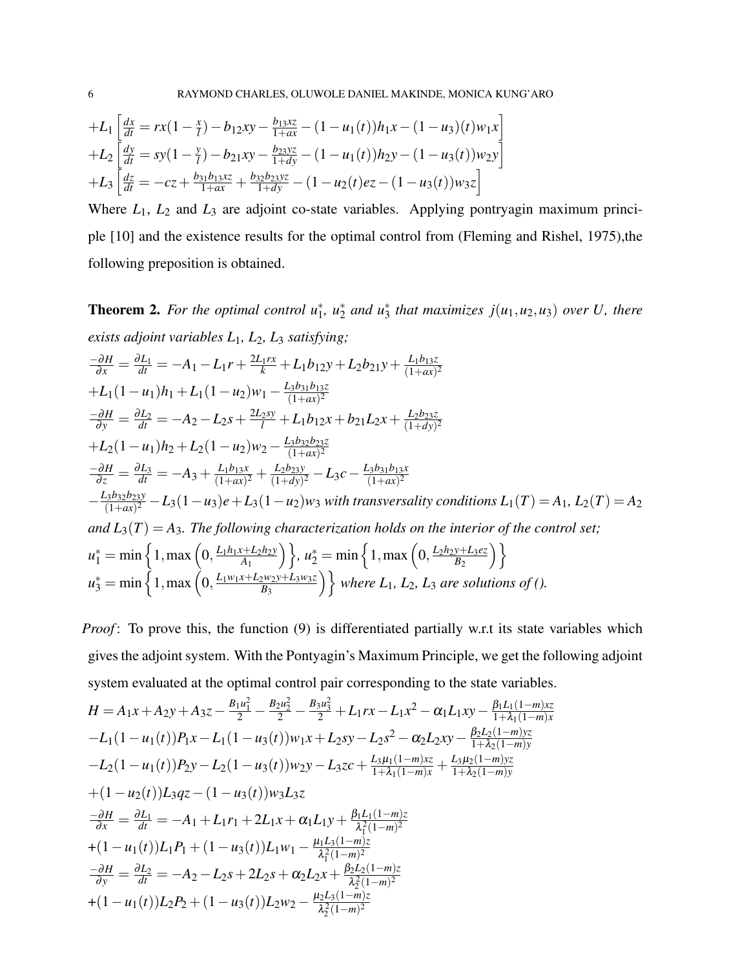$$
+L_{1}\left[\frac{dx}{dt} = rx(1-\frac{x}{l}) - b_{12}xy - \frac{b_{13}xz}{1+ax} - (1-u_{1}(t))h_{1}x - (1-u_{3})(t)w_{1}x\right] +L_{2}\left[\frac{dy}{dt} = sy(1-\frac{y}{l}) - b_{21}xy - \frac{b_{23}yz}{1+dy} - (1-u_{1}(t))h_{2}y - (1-u_{3}(t))w_{2}y\right] +L_{3}\left[\frac{dz}{dt} = -cz + \frac{b_{31}b_{13}xz}{1+ax} + \frac{b_{32}b_{23}yz}{1+dy} - (1-u_{2}(t)ez - (1-u_{3}(t))w_{3}z\right]
$$

Where *L*<sub>1</sub>, *L*<sub>2</sub> and *L*<sub>3</sub> are adjoint co-state variables. Applying pontryagin maximum principle [\[10\]](#page-11-10) and the existence results for the optimal control from (Fleming and Rishel, 1975),the following preposition is obtained.

**Theorem 2.** For the optimal control  $u_1^*$ ,  $u_2^*$  and  $u_3^*$  that maximizes  $j(u_1, u_2, u_3)$  over U, there *exists adjoint variables L*1*, L*2*, L*<sup>3</sup> *satisfying;*

$$
\frac{-\partial H}{\partial x} = \frac{\partial L_1}{\partial t} = -A_1 - L_1 r + \frac{2L_1 rx}{k} + L_1 b_{12} y + L_2 b_{21} y + \frac{L_1 b_{13} z}{(1 + \alpha x)^2}
$$
  
+L<sub>1</sub>(1 – u<sub>1</sub>)h<sub>1</sub> + L<sub>1</sub>(1 – u<sub>2</sub>)w<sub>1</sub> -  $\frac{L_3 b_{31} b_{13} z}{(1 + \alpha x)^2}$   

$$
\frac{-\partial H}{\partial y} = \frac{\partial L_2}{\partial t} = -A_2 - L_2 s + \frac{2L_2 s y}{l} + L_1 b_{12} x + b_{21} L_2 x + \frac{L_2 b_{23} z}{(1 + d y)^2}
$$
  
+L<sub>2</sub>(1 – u<sub>1</sub>)h<sub>2</sub> + L<sub>2</sub>(1 – u<sub>2</sub>)w<sub>2</sub> -  $\frac{L_3 b_{32} b_{23} z}{(1 + \alpha x)^2}$   

$$
\frac{-\partial H}{\partial z} = \frac{\partial L_3}{\partial t} = -A_3 + \frac{L_1 b_{13} x}{(1 + \alpha x)^2} + \frac{L_2 b_{23} y}{(1 + d y)^2} - L_3 c - \frac{L_3 b_{31} b_{13} x}{(1 + \alpha x)^2}
$$
  

$$
-\frac{L_3 b_{32} b_{23} y}{(1 + \alpha x)^2} - L_3 (1 - u_3) e + L_3 (1 - u_2) w_3 \text{ with transversality conditions } L_1(T) = A_1, L_2(T) = A_2
$$
  
and L<sub>3</sub>(T) = A<sub>3</sub>. The following characterization holds on the interior of the control set;  
 $u_1^* = \min\left\{1, \max\left(0, \frac{L_1 h_1 x + L_2 h_2 y}{A_1}\right)\right\}, u_2^* = \min\left\{1, \max\left(0, \frac{L_2 h_2 y + L_3 e z}{B_2}\right)\right\}$   
 $u_3^* = \min\left\{1, \max\left(0, \frac{L_1 w_1 x + L_2 w_2 y + L_3 w_3 z}{B_3}\$ 

*Proof*: To prove this, the function (9) is differentiated partially w.r.t its state variables which gives the adjoint system. With the Pontyagin's Maximum Principle, we get the following adjoint system evaluated at the optimal control pair corresponding to the state variables.

$$
H = A_1x + A_2y + A_3z - \frac{B_1u_1^2}{2} - \frac{B_2u_2^2}{2} - \frac{B_3u_3^2}{2} + L_1rx - L_1x^2 - \alpha_1L_1xy - \frac{\beta_1L_1(1-m)xz}{1+\lambda_1(1-m)x}
$$
  
\n
$$
-L_1(1 - u_1(t))P_1x - L_1(1 - u_3(t))w_1x + L_2sy - L_2s^2 - \alpha_2L_2xy - \frac{\beta_2L_2(1-m)yz}{1+\lambda_2(1-m)y}
$$
  
\n
$$
-L_2(1 - u_1(t))P_2y - L_2(1 - u_3(t))w_2y - L_3zc + \frac{L_3\mu_1(1-m)xz}{1+\lambda_1(1-m)x} + \frac{L_3\mu_2(1-m)yz}{1+\lambda_2(1-m)y}
$$
  
\n
$$
+(1 - u_2(t))L_3qz - (1 - u_3(t))w_3L_3z
$$
  
\n
$$
\frac{-\partial H}{\partial x} = \frac{\partial L_1}{dt} = -A_1 + L_1r_1 + 2L_1x + \alpha_1L_1y + \frac{\beta_1L_1(1-m)z}{\lambda_1^2(1-m)^2}
$$
  
\n
$$
+(1 - u_1(t))L_1P_1 + (1 - u_3(t))L_1w_1 - \frac{\mu_1L_3(1-m)z}{\lambda_1^2(1-m)^2}
$$
  
\n
$$
\frac{-\partial H}{\partial y} = \frac{\partial L_2}{dt} = -A_2 - L_2s + 2L_2s + \alpha_2L_2x + \frac{\beta_2L_2(1-m)z}{\lambda_2^2(1-m)^2}
$$
  
\n
$$
+(1 - u_1(t))L_2P_2 + (1 - u_3(t))L_2w_2 - \frac{\mu_2L_3(1-m)z}{\lambda_2^2(1-m)^2}
$$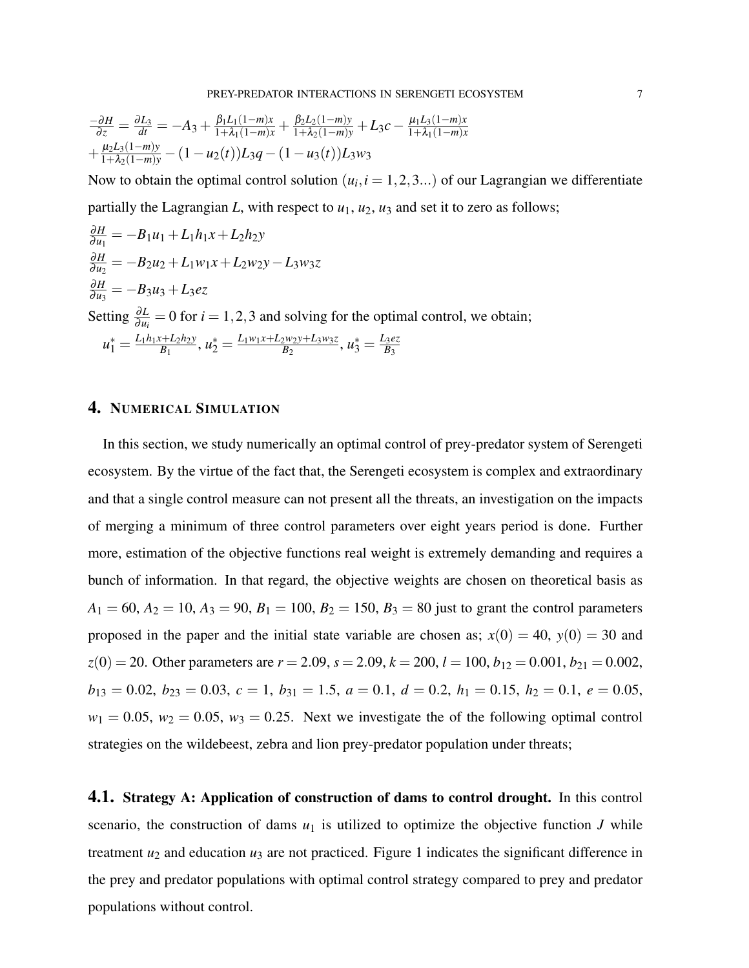$$
\frac{-\partial H}{\partial z} = \frac{\partial L_3}{\partial t} = -A_3 + \frac{\beta_1 L_1 (1-m)x}{1 + \lambda_1 (1-m)x} + \frac{\beta_2 L_2 (1-m)y}{1 + \lambda_2 (1-m)y} + L_3 c - \frac{\mu_1 L_3 (1-m)x}{1 + \lambda_1 (1-m)x}
$$

$$
+ \frac{\mu_2 L_3 (1-m)y}{1 + \lambda_2 (1-m)y} - (1 - u_2(t)) L_3 q - (1 - u_3(t)) L_3 w_3
$$

Now to obtain the optimal control solution  $(u_i, i = 1, 2, 3...)$  of our Lagrangian we differentiate partially the Lagrangian *L*, with respect to  $u_1$ ,  $u_2$ ,  $u_3$  and set it to zero as follows;

$$
\frac{\partial H}{\partial u_1} = -B_1 u_1 + L_1 h_1 x + L_2 h_2 y
$$
  
\n
$$
\frac{\partial H}{\partial u_2} = -B_2 u_2 + L_1 w_1 x + L_2 w_2 y - L_3 w_3 z
$$
  
\n
$$
\frac{\partial H}{\partial u_3} = -B_3 u_3 + L_3 e z
$$

Setting  $\frac{\partial L}{\partial u_i} = 0$  for *i* = 1, 2, 3 and solving for the optimal control, we obtain;

$$
u_1^* = \frac{L_1 h_1 x + L_2 h_2 y}{B_1}, u_2^* = \frac{L_1 w_1 x + L_2 w_2 y + L_3 w_3 z}{B_2}, u_3^* = \frac{L_3 e z}{B_3}
$$

# 4. NUMERICAL SIMULATION

In this section, we study numerically an optimal control of prey-predator system of Serengeti ecosystem. By the virtue of the fact that, the Serengeti ecosystem is complex and extraordinary and that a single control measure can not present all the threats, an investigation on the impacts of merging a minimum of three control parameters over eight years period is done. Further more, estimation of the objective functions real weight is extremely demanding and requires a bunch of information. In that regard, the objective weights are chosen on theoretical basis as  $A_1 = 60$ ,  $A_2 = 10$ ,  $A_3 = 90$ ,  $B_1 = 100$ ,  $B_2 = 150$ ,  $B_3 = 80$  just to grant the control parameters proposed in the paper and the initial state variable are chosen as;  $x(0) = 40$ ,  $y(0) = 30$  and  $z(0) = 20$ . Other parameters are  $r = 2.09$ ,  $s = 2.09$ ,  $k = 200$ ,  $l = 100$ ,  $b_{12} = 0.001$ ,  $b_{21} = 0.002$ ,  $b_{13} = 0.02, b_{23} = 0.03, c = 1, b_{31} = 1.5, a = 0.1, d = 0.2, h_1 = 0.15, h_2 = 0.1, e = 0.05,$  $w_1 = 0.05$ ,  $w_2 = 0.05$ ,  $w_3 = 0.25$ . Next we investigate the of the following optimal control strategies on the wildebeest, zebra and lion prey-predator population under threats;

4.1. Strategy A: Application of construction of dams to control drought. In this control scenario, the construction of dams  $u_1$  is utilized to optimize the objective function *J* while treatment  $u_2$  and education  $u_3$  are not practiced. Figure 1 indicates the significant difference in the prey and predator populations with optimal control strategy compared to prey and predator populations without control.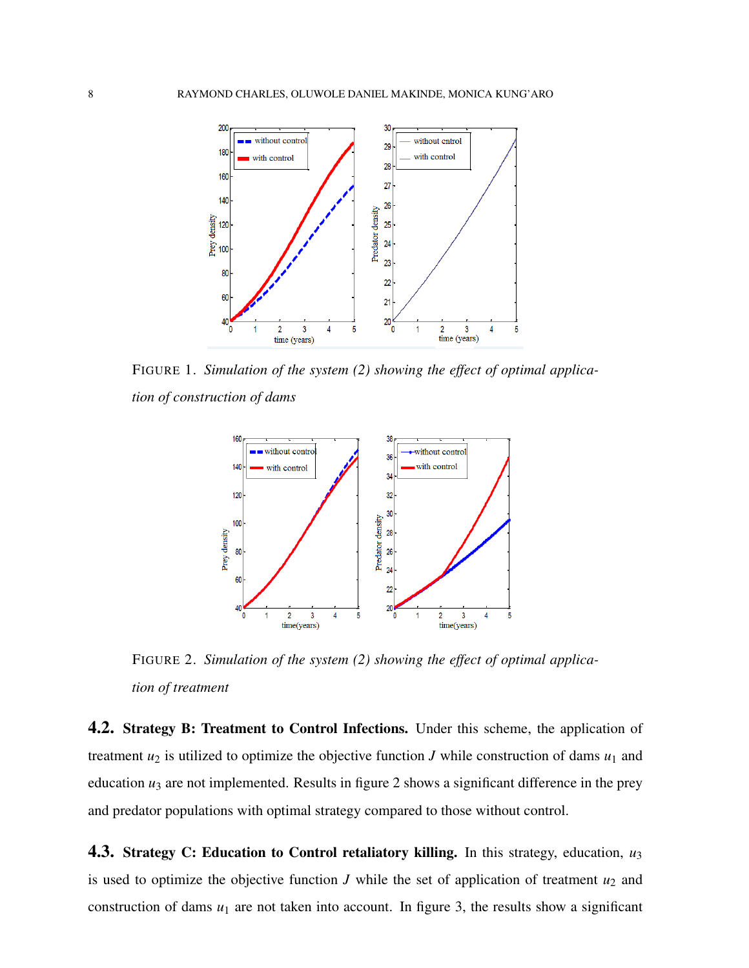

FIGURE 1. *Simulation of the system [\(2\)](#page-2-1) showing the effect of optimal application of construction of dams*



FIGURE 2. *Simulation of the system [\(2\)](#page-2-1) showing the effect of optimal application of treatment*

4.2. Strategy B: Treatment to Control Infections. Under this scheme, the application of treatment  $u_2$  is utilized to optimize the objective function *J* while construction of dams  $u_1$  and education  $u_3$  are not implemented. Results in figure 2 shows a significant difference in the prey and predator populations with optimal strategy compared to those without control.

4.3. Strategy C: Education to Control retaliatory killing. In this strategy, education, *u*<sup>3</sup> is used to optimize the objective function *J* while the set of application of treatment  $u_2$  and construction of dams  $u_1$  are not taken into account. In figure 3, the results show a significant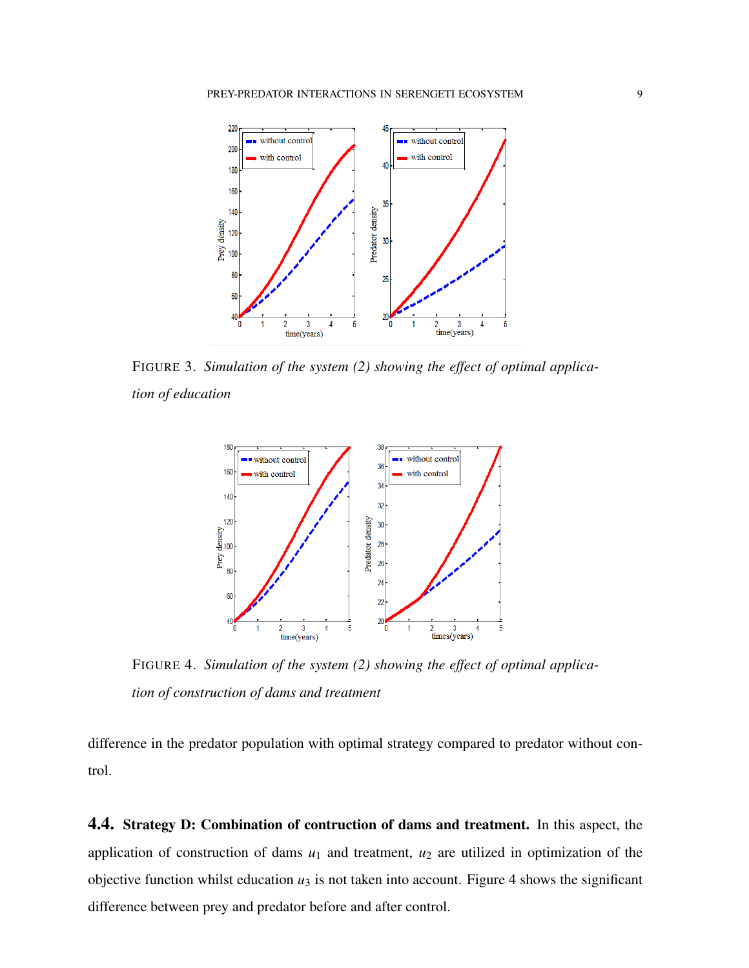

FIGURE 3. *Simulation of the system [\(2\)](#page-2-1) showing the effect of optimal application of education*



FIGURE 4. *Simulation of the system [\(2\)](#page-2-1) showing the effect of optimal application of construction of dams and treatment*

difference in the predator population with optimal strategy compared to predator without control.

4.4. Strategy D: Combination of contruction of dams and treatment. In this aspect, the application of construction of dams  $u_1$  and treatment,  $u_2$  are utilized in optimization of the objective function whilst education  $u_3$  is not taken into account. Figure 4 shows the significant difference between prey and predator before and after control.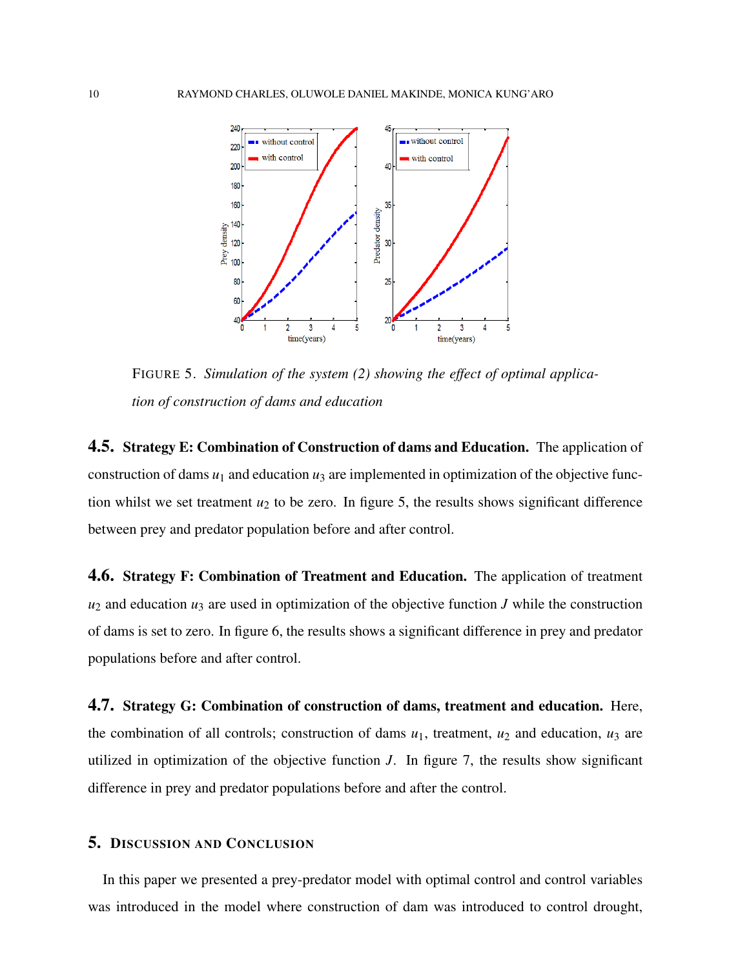

FIGURE 5. *Simulation of the system [\(2\)](#page-2-1) showing the effect of optimal application of construction of dams and education*

4.5. Strategy E: Combination of Construction of dams and Education. The application of construction of dams  $u_1$  and education  $u_3$  are implemented in optimization of the objective function whilst we set treatment  $u_2$  to be zero. In figure 5, the results shows significant difference between prey and predator population before and after control.

4.6. Strategy F: Combination of Treatment and Education. The application of treatment  $u_2$  and education  $u_3$  are used in optimization of the objective function *J* while the construction of dams is set to zero. In figure 6, the results shows a significant difference in prey and predator populations before and after control.

4.7. Strategy G: Combination of construction of dams, treatment and education. Here, the combination of all controls; construction of dams  $u_1$ , treatment,  $u_2$  and education,  $u_3$  are utilized in optimization of the objective function  $J$ . In figure  $7$ , the results show significant difference in prey and predator populations before and after the control.

# 5. DISCUSSION AND CONCLUSION

In this paper we presented a prey-predator model with optimal control and control variables was introduced in the model where construction of dam was introduced to control drought,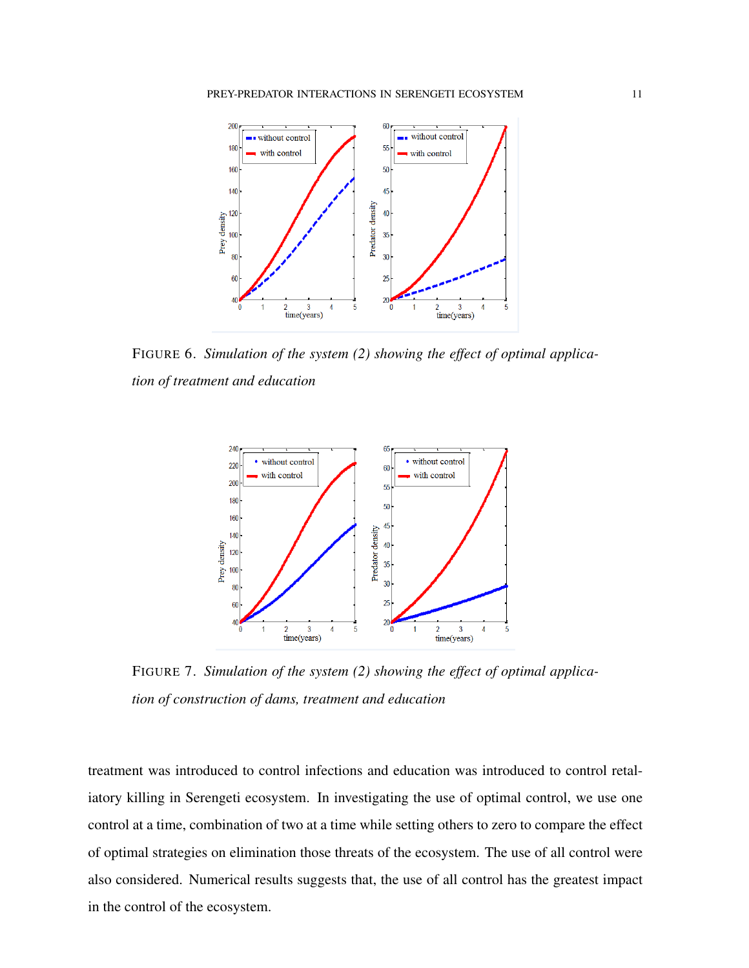

FIGURE 6. *Simulation of the system [\(2\)](#page-2-1) showing the effect of optimal application of treatment and education*



FIGURE 7. *Simulation of the system [\(2\)](#page-2-1) showing the effect of optimal application of construction of dams, treatment and education*

treatment was introduced to control infections and education was introduced to control retaliatory killing in Serengeti ecosystem. In investigating the use of optimal control, we use one control at a time, combination of two at a time while setting others to zero to compare the effect of optimal strategies on elimination those threats of the ecosystem. The use of all control were also considered. Numerical results suggests that, the use of all control has the greatest impact in the control of the ecosystem.